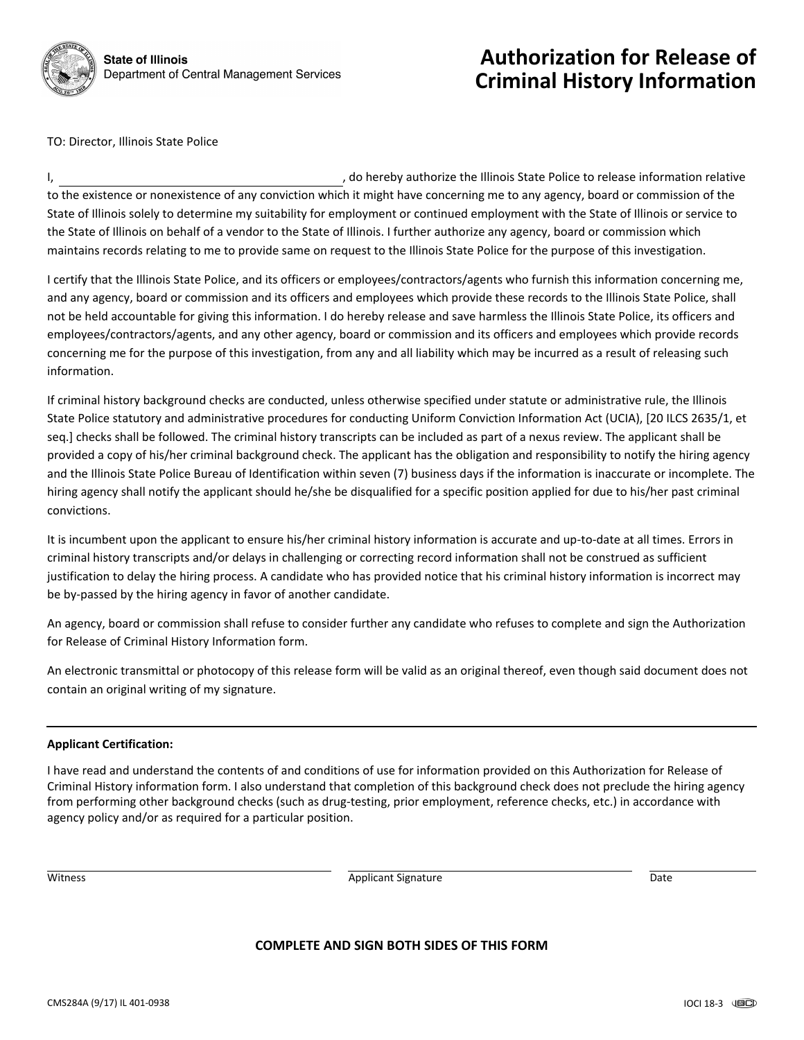

# **Authorization for Release of Criminal History Information**

TO: Director, Illinois State Police

I, the refluit of the relation of the Illinois State Police to release information relative to the existence or nonexistence of any conviction which it might have concerning me to any agency, board or commission of the State of Illinois solely to determine my suitability for employment or continued employment with the State of Illinois or service to the State of Illinois on behalf of a vendor to the State of Illinois. I further authorize any agency, board or commission which maintains records relating to me to provide same on request to the Illinois State Police for the purpose of this investigation.

I certify that the Illinois State Police, and its officers or employees/contractors/agents who furnish this information concerning me, and any agency, board or commission and its officers and employees which provide these records to the Illinois State Police, shall not be held accountable for giving this information. I do hereby release and save harmless the Illinois State Police, its officers and employees/contractors/agents, and any other agency, board or commission and its officers and employees which provide records concerning me for the purpose of this investigation, from any and all liability which may be incurred as a result of releasing such information.

If criminal history background checks are conducted, unless otherwise specified under statute or administrative rule, the Illinois State Police statutory and administrative procedures for conducting Uniform Conviction Information Act (UCIA), [20 ILCS 2635/1, et seq.] checks shall be followed. The criminal history transcripts can be included as part of a nexus review. The applicant shall be provided a copy of his/her criminal background check. The applicant has the obligation and responsibility to notify the hiring agency and the Illinois State Police Bureau of Identification within seven (7) business days if the information is inaccurate or incomplete. The hiring agency shall notify the applicant should he/she be disqualified for a specific position applied for due to his/her past criminal convictions.

It is incumbent upon the applicant to ensure his/her criminal history information is accurate and up-to-date at all times. Errors in criminal history transcripts and/or delays in challenging or correcting record information shall not be construed as sufficient justification to delay the hiring process. A candidate who has provided notice that his criminal history information is incorrect may be by-passed by the hiring agency in favor of another candidate.

An agency, board or commission shall refuse to consider further any candidate who refuses to complete and sign the Authorization for Release of Criminal History Information form.

An electronic transmittal or photocopy of this release form will be valid as an original thereof, even though said document does not contain an original writing of my signature.

## **Applicant Certification:**

I have read and understand the contents of and conditions of use for information provided on this Authorization for Release of Criminal History information form. I also understand that completion of this background check does not preclude the hiring agency from performing other background checks (such as drug-testing, prior employment, reference checks, etc.) in accordance with agency policy and/or as required for a particular position.

**In the U.S. In the Contract of the Contract of Contract Contract of Contract Contract Contract Only to Date** 

## **COMPLETE AND SIGN BOTH SIDES OF THIS FORM**